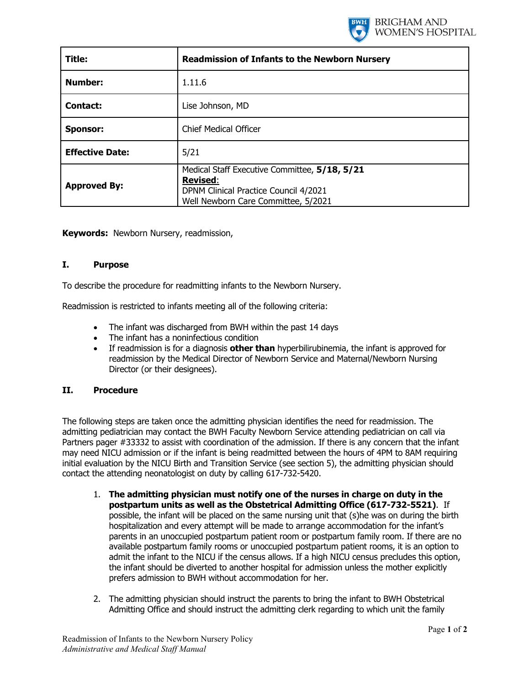

| Title:                 | <b>Readmission of Infants to the Newborn Nursery</b>                                                                                             |
|------------------------|--------------------------------------------------------------------------------------------------------------------------------------------------|
| <b>Number:</b>         | 1.11.6                                                                                                                                           |
| Contact:               | Lise Johnson, MD                                                                                                                                 |
| <b>Sponsor:</b>        | <b>Chief Medical Officer</b>                                                                                                                     |
| <b>Effective Date:</b> | 5/21                                                                                                                                             |
| <b>Approved By:</b>    | Medical Staff Executive Committee, 5/18, 5/21<br><b>Revised:</b><br>DPNM Clinical Practice Council 4/2021<br>Well Newborn Care Committee, 5/2021 |

**Keywords:** Newborn Nursery, readmission,

## **I. Purpose**

To describe the procedure for readmitting infants to the Newborn Nursery.

Readmission is restricted to infants meeting all of the following criteria:

- The infant was discharged from BWH within the past 14 days
- The infant has a noninfectious condition
- If readmission is for a diagnosis **other than** hyperbilirubinemia, the infant is approved for readmission by the Medical Director of Newborn Service and Maternal/Newborn Nursing Director (or their designees).

## **II. Procedure**

The following steps are taken once the admitting physician identifies the need for readmission. The admitting pediatrician may contact the BWH Faculty Newborn Service attending pediatrician on call via Partners pager #33332 to assist with coordination of the admission. If there is any concern that the infant may need NICU admission or if the infant is being readmitted between the hours of 4PM to 8AM requiring initial evaluation by the NICU Birth and Transition Service (see section 5), the admitting physician should contact the attending neonatologist on duty by calling 617-732-5420.

- 1. **The admitting physician must notify one of the nurses in charge on duty in the postpartum units as well as the Obstetrical Admitting Office (617-732-5521)**. If possible, the infant will be placed on the same nursing unit that (s)he was on during the birth hospitalization and every attempt will be made to arrange accommodation for the infant's parents in an unoccupied postpartum patient room or postpartum family room. If there are no available postpartum family rooms or unoccupied postpartum patient rooms, it is an option to admit the infant to the NICU if the census allows. If a high NICU census precludes this option, the infant should be diverted to another hospital for admission unless the mother explicitly prefers admission to BWH without accommodation for her.
- 2. The admitting physician should instruct the parents to bring the infant to BWH Obstetrical Admitting Office and should instruct the admitting clerk regarding to which unit the family